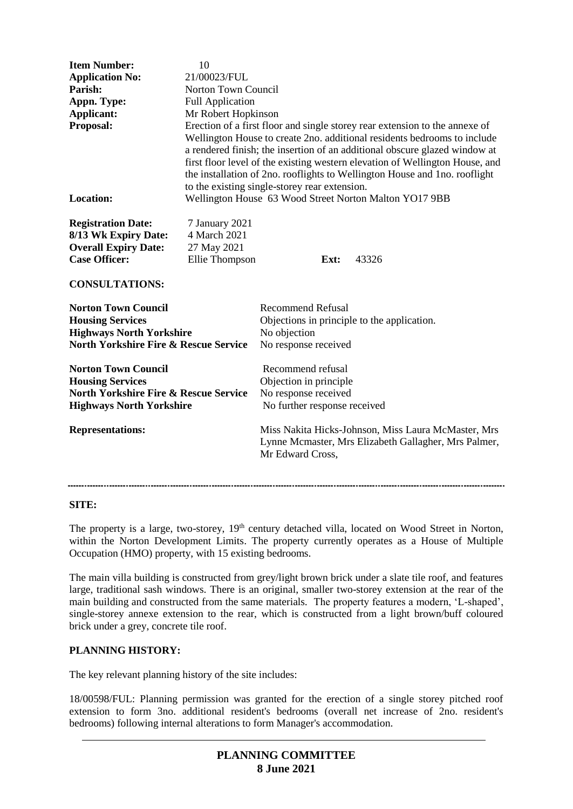| <b>Item Number:</b><br><b>Application No:</b><br>Parish:<br>Appn. Type:<br><b>Applicant:</b><br>Proposal:                                    | 10<br>21/00023/FUL<br>Norton Town Council<br><b>Full Application</b><br>Mr Robert Hopkinson<br>Erection of a first floor and single storey rear extension to the annexe of<br>Wellington House to create 2no. additional residents bedrooms to include<br>a rendered finish; the insertion of an additional obscure glazed window at<br>first floor level of the existing western elevation of Wellington House, and<br>the installation of 2no. rooflights to Wellington House and 1no. rooflight<br>to the existing single-storey rear extension. |                                                                                                                                 |      |       |
|----------------------------------------------------------------------------------------------------------------------------------------------|-----------------------------------------------------------------------------------------------------------------------------------------------------------------------------------------------------------------------------------------------------------------------------------------------------------------------------------------------------------------------------------------------------------------------------------------------------------------------------------------------------------------------------------------------------|---------------------------------------------------------------------------------------------------------------------------------|------|-------|
| <b>Location:</b>                                                                                                                             | Wellington House 63 Wood Street Norton Malton YO17 9BB                                                                                                                                                                                                                                                                                                                                                                                                                                                                                              |                                                                                                                                 |      |       |
| <b>Registration Date:</b><br>8/13 Wk Expiry Date:<br><b>Overall Expiry Date:</b><br><b>Case Officer:</b><br><b>CONSULTATIONS:</b>            | 7 January 2021<br>4 March 2021<br>27 May 2021<br>Ellie Thompson                                                                                                                                                                                                                                                                                                                                                                                                                                                                                     |                                                                                                                                 | Ext: | 43326 |
| <b>Norton Town Council</b><br><b>Housing Services</b><br><b>Highways North Yorkshire</b><br><b>North Yorkshire Fire &amp; Rescue Service</b> |                                                                                                                                                                                                                                                                                                                                                                                                                                                                                                                                                     | <b>Recommend Refusal</b><br>Objections in principle to the application.<br>No objection<br>No response received                 |      |       |
| <b>Norton Town Council</b><br><b>Housing Services</b><br><b>North Yorkshire Fire &amp; Rescue Service</b><br><b>Highways North Yorkshire</b> |                                                                                                                                                                                                                                                                                                                                                                                                                                                                                                                                                     | Recommend refusal<br>Objection in principle<br>No response received<br>No further response received                             |      |       |
| <b>Representations:</b>                                                                                                                      |                                                                                                                                                                                                                                                                                                                                                                                                                                                                                                                                                     | Miss Nakita Hicks-Johnson, Miss Laura McMaster, Mrs<br>Lynne Mcmaster, Mrs Elizabeth Gallagher, Mrs Palmer,<br>Mr Edward Cross, |      |       |

#### **SITE:**

The property is a large, two-storey, 19<sup>th</sup> century detached villa, located on Wood Street in Norton, within the Norton Development Limits. The property currently operates as a House of Multiple Occupation (HMO) property, with 15 existing bedrooms.

The main villa building is constructed from grey/light brown brick under a slate tile roof, and features large, traditional sash windows. There is an original, smaller two-storey extension at the rear of the main building and constructed from the same materials. The property features a modern, 'L-shaped', single-storey annexe extension to the rear, which is constructed from a light brown/buff coloured brick under a grey, concrete tile roof.

#### **PLANNING HISTORY:**

The key relevant planning history of the site includes:

18/00598/FUL: Planning permission was granted for the erection of a single storey pitched roof extension to form 3no. additional resident's bedrooms (overall net increase of 2no. resident's bedrooms) following internal alterations to form Manager's accommodation.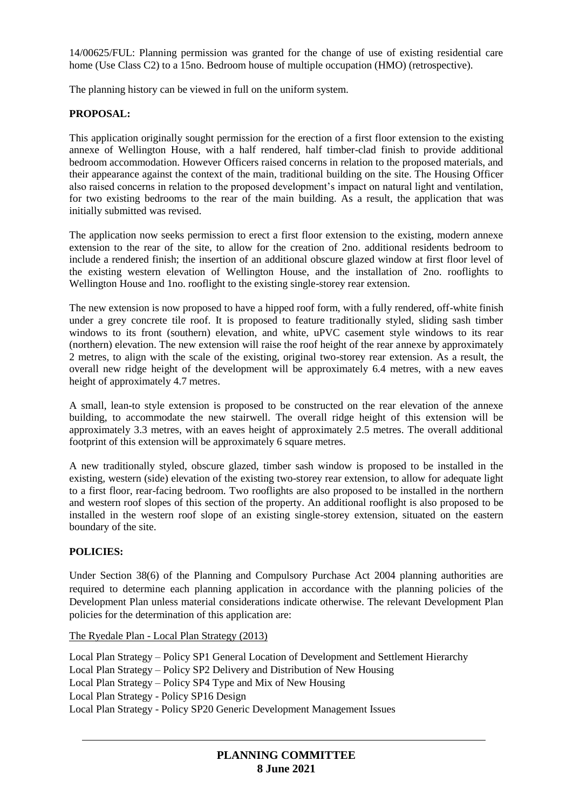14/00625/FUL: Planning permission was granted for the change of use of existing residential care home (Use Class C2) to a 15no. Bedroom house of multiple occupation (HMO) (retrospective).

The planning history can be viewed in full on the uniform system.

### **PROPOSAL:**

This application originally sought permission for the erection of a first floor extension to the existing annexe of Wellington House, with a half rendered, half timber-clad finish to provide additional bedroom accommodation. However Officers raised concerns in relation to the proposed materials, and their appearance against the context of the main, traditional building on the site. The Housing Officer also raised concerns in relation to the proposed development's impact on natural light and ventilation, for two existing bedrooms to the rear of the main building. As a result, the application that was initially submitted was revised.

The application now seeks permission to erect a first floor extension to the existing, modern annexe extension to the rear of the site, to allow for the creation of 2no. additional residents bedroom to include a rendered finish; the insertion of an additional obscure glazed window at first floor level of the existing western elevation of Wellington House, and the installation of 2no. rooflights to Wellington House and 1no. rooflight to the existing single-storey rear extension.

The new extension is now proposed to have a hipped roof form, with a fully rendered, off-white finish under a grey concrete tile roof. It is proposed to feature traditionally styled, sliding sash timber windows to its front (southern) elevation, and white, uPVC casement style windows to its rear (northern) elevation. The new extension will raise the roof height of the rear annexe by approximately 2 metres, to align with the scale of the existing, original two-storey rear extension. As a result, the overall new ridge height of the development will be approximately 6.4 metres, with a new eaves height of approximately 4.7 metres.

A small, lean-to style extension is proposed to be constructed on the rear elevation of the annexe building, to accommodate the new stairwell. The overall ridge height of this extension will be approximately 3.3 metres, with an eaves height of approximately 2.5 metres. The overall additional footprint of this extension will be approximately 6 square metres.

A new traditionally styled, obscure glazed, timber sash window is proposed to be installed in the existing, western (side) elevation of the existing two-storey rear extension, to allow for adequate light to a first floor, rear-facing bedroom. Two rooflights are also proposed to be installed in the northern and western roof slopes of this section of the property. An additional rooflight is also proposed to be installed in the western roof slope of an existing single-storey extension, situated on the eastern boundary of the site.

#### **POLICIES:**

Under Section 38(6) of the Planning and Compulsory Purchase Act 2004 planning authorities are required to determine each planning application in accordance with the planning policies of the Development Plan unless material considerations indicate otherwise. The relevant Development Plan policies for the determination of this application are:

The Ryedale Plan - Local Plan Strategy (2013)

Local Plan Strategy – Policy SP1 General Location of Development and Settlement Hierarchy Local Plan Strategy – Policy SP2 Delivery and Distribution of New Housing Local Plan Strategy – Policy SP4 Type and Mix of New Housing Local Plan Strategy - Policy SP16 Design Local Plan Strategy - Policy SP20 Generic Development Management Issues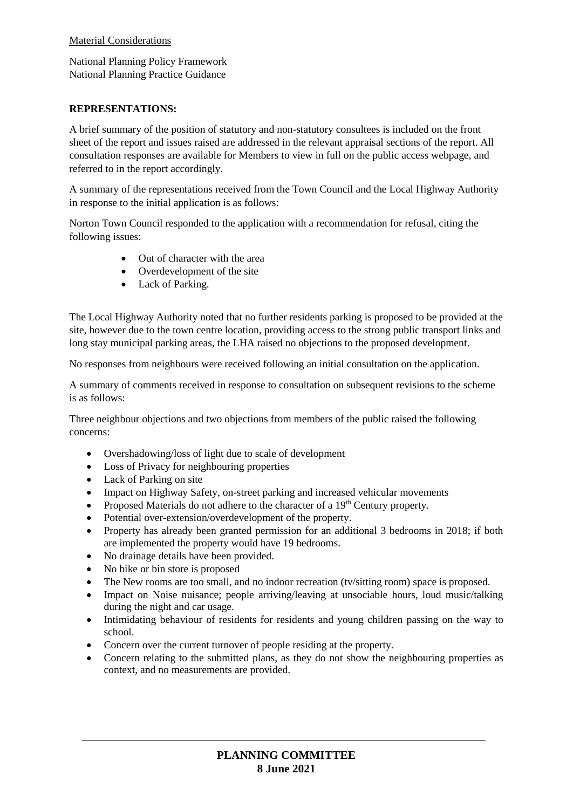### Material Considerations

National Planning Policy Framework National Planning Practice Guidance

### **REPRESENTATIONS:**

A brief summary of the position of statutory and non-statutory consultees is included on the front sheet of the report and issues raised are addressed in the relevant appraisal sections of the report. All consultation responses are available for Members to view in full on the public access webpage, and referred to in the report accordingly.

A summary of the representations received from the Town Council and the Local Highway Authority in response to the initial application is as follows:

Norton Town Council responded to the application with a recommendation for refusal, citing the following issues:

- Out of character with the area
- Overdevelopment of the site
- Lack of Parking.

The Local Highway Authority noted that no further residents parking is proposed to be provided at the site, however due to the town centre location, providing access to the strong public transport links and long stay municipal parking areas, the LHA raised no objections to the proposed development.

No responses from neighbours were received following an initial consultation on the application.

A summary of comments received in response to consultation on subsequent revisions to the scheme is as follows:

Three neighbour objections and two objections from members of the public raised the following concerns:

- Overshadowing/loss of light due to scale of development
- Loss of Privacy for neighbouring properties
- Lack of Parking on site
- Impact on Highway Safety, on-street parking and increased vehicular movements
- Proposed Materials do not adhere to the character of a  $19<sup>th</sup>$  Century property.
- Potential over-extension/overdevelopment of the property.
- Property has already been granted permission for an additional 3 bedrooms in 2018; if both are implemented the property would have 19 bedrooms.
- No drainage details have been provided.
- No bike or bin store is proposed
- The New rooms are too small, and no indoor recreation (tv/sitting room) space is proposed.
- Impact on Noise nuisance; people arriving/leaving at unsociable hours, loud music/talking during the night and car usage.
- Intimidating behaviour of residents for residents and young children passing on the way to school.
- Concern over the current turnover of people residing at the property.
- Concern relating to the submitted plans, as they do not show the neighbouring properties as context, and no measurements are provided.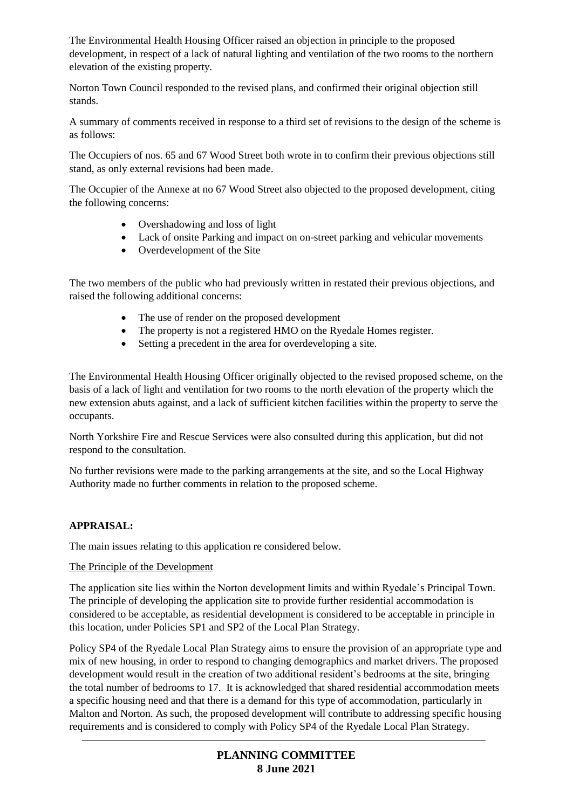The Environmental Health Housing Officer raised an objection in principle to the proposed development, in respect of a lack of natural lighting and ventilation of the two rooms to the northern elevation of the existing property.

Norton Town Council responded to the revised plans, and confirmed their original objection still stands.

A summary of comments received in response to a third set of revisions to the design of the scheme is as follows:

The Occupiers of nos. 65 and 67 Wood Street both wrote in to confirm their previous objections still stand, as only external revisions had been made.

The Occupier of the Annexe at no 67 Wood Street also objected to the proposed development, citing the following concerns:

- Overshadowing and loss of light
- Lack of onsite Parking and impact on on-street parking and vehicular movements
- Overdevelopment of the Site

The two members of the public who had previously written in restated their previous objections, and raised the following additional concerns:

- The use of render on the proposed development
- The property is not a registered HMO on the Ryedale Homes register.
- Setting a precedent in the area for overdeveloping a site.

The Environmental Health Housing Officer originally objected to the revised proposed scheme, on the basis of a lack of light and ventilation for two rooms to the north elevation of the property which the new extension abuts against, and a lack of sufficient kitchen facilities within the property to serve the occupants.

North Yorkshire Fire and Rescue Services were also consulted during this application, but did not respond to the consultation.

No further revisions were made to the parking arrangements at the site, and so the Local Highway Authority made no further comments in relation to the proposed scheme.

## **APPRAISAL:**

The main issues relating to this application re considered below.

#### The Principle of the Development

The application site lies within the Norton development limits and within Ryedale's Principal Town. The principle of developing the application site to provide further residential accommodation is considered to be acceptable, as residential development is considered to be acceptable in principle in this location, under Policies SP1 and SP2 of the Local Plan Strategy.

Policy SP4 of the Ryedale Local Plan Strategy aims to ensure the provision of an appropriate type and mix of new housing, in order to respond to changing demographics and market drivers. The proposed development would result in the creation of two additional resident's bedrooms at the site, bringing the total number of bedrooms to 17. It is acknowledged that shared residential accommodation meets a specific housing need and that there is a demand for this type of accommodation, particularly in Malton and Norton. As such, the proposed development will contribute to addressing specific housing requirements and is considered to comply with Policy SP4 of the Ryedale Local Plan Strategy.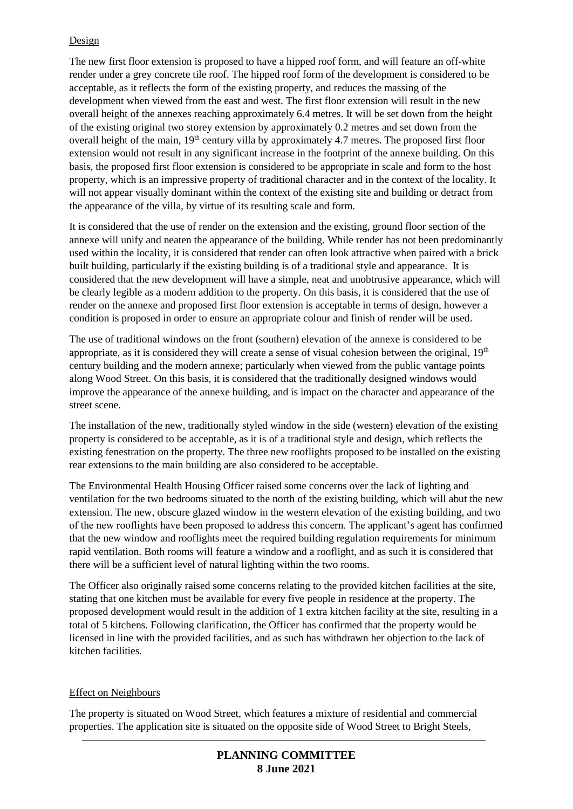# Design

The new first floor extension is proposed to have a hipped roof form, and will feature an off-white render under a grey concrete tile roof. The hipped roof form of the development is considered to be acceptable, as it reflects the form of the existing property, and reduces the massing of the development when viewed from the east and west. The first floor extension will result in the new overall height of the annexes reaching approximately 6.4 metres. It will be set down from the height of the existing original two storey extension by approximately 0.2 metres and set down from the overall height of the main, 19<sup>th</sup> century villa by approximately 4.7 metres. The proposed first floor extension would not result in any significant increase in the footprint of the annexe building. On this basis, the proposed first floor extension is considered to be appropriate in scale and form to the host property, which is an impressive property of traditional character and in the context of the locality. It will not appear visually dominant within the context of the existing site and building or detract from the appearance of the villa, by virtue of its resulting scale and form.

It is considered that the use of render on the extension and the existing, ground floor section of the annexe will unify and neaten the appearance of the building. While render has not been predominantly used within the locality, it is considered that render can often look attractive when paired with a brick built building, particularly if the existing building is of a traditional style and appearance. It is considered that the new development will have a simple, neat and unobtrusive appearance, which will be clearly legible as a modern addition to the property. On this basis, it is considered that the use of render on the annexe and proposed first floor extension is acceptable in terms of design, however a condition is proposed in order to ensure an appropriate colour and finish of render will be used.

The use of traditional windows on the front (southern) elevation of the annexe is considered to be appropriate, as it is considered they will create a sense of visual cohesion between the original,  $19<sup>th</sup>$ century building and the modern annexe; particularly when viewed from the public vantage points along Wood Street. On this basis, it is considered that the traditionally designed windows would improve the appearance of the annexe building, and is impact on the character and appearance of the street scene.

The installation of the new, traditionally styled window in the side (western) elevation of the existing property is considered to be acceptable, as it is of a traditional style and design, which reflects the existing fenestration on the property. The three new rooflights proposed to be installed on the existing rear extensions to the main building are also considered to be acceptable.

The Environmental Health Housing Officer raised some concerns over the lack of lighting and ventilation for the two bedrooms situated to the north of the existing building, which will abut the new extension. The new, obscure glazed window in the western elevation of the existing building, and two of the new rooflights have been proposed to address this concern. The applicant's agent has confirmed that the new window and rooflights meet the required building regulation requirements for minimum rapid ventilation. Both rooms will feature a window and a rooflight, and as such it is considered that there will be a sufficient level of natural lighting within the two rooms.

The Officer also originally raised some concerns relating to the provided kitchen facilities at the site, stating that one kitchen must be available for every five people in residence at the property. The proposed development would result in the addition of 1 extra kitchen facility at the site, resulting in a total of 5 kitchens. Following clarification, the Officer has confirmed that the property would be licensed in line with the provided facilities, and as such has withdrawn her objection to the lack of kitchen facilities.

## Effect on Neighbours

The property is situated on Wood Street, which features a mixture of residential and commercial properties. The application site is situated on the opposite side of Wood Street to Bright Steels,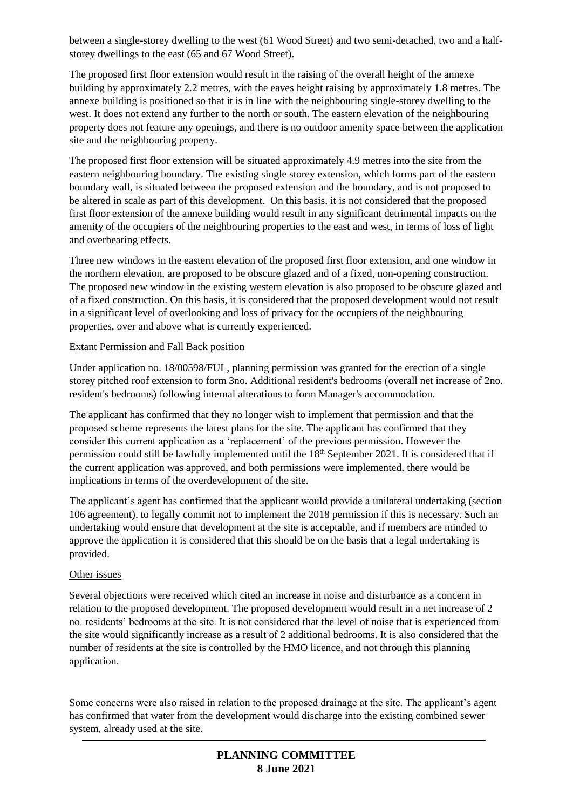between a single-storey dwelling to the west (61 Wood Street) and two semi-detached, two and a halfstorey dwellings to the east (65 and 67 Wood Street).

The proposed first floor extension would result in the raising of the overall height of the annexe building by approximately 2.2 metres, with the eaves height raising by approximately 1.8 metres. The annexe building is positioned so that it is in line with the neighbouring single-storey dwelling to the west. It does not extend any further to the north or south. The eastern elevation of the neighbouring property does not feature any openings, and there is no outdoor amenity space between the application site and the neighbouring property.

The proposed first floor extension will be situated approximately 4.9 metres into the site from the eastern neighbouring boundary. The existing single storey extension, which forms part of the eastern boundary wall, is situated between the proposed extension and the boundary, and is not proposed to be altered in scale as part of this development. On this basis, it is not considered that the proposed first floor extension of the annexe building would result in any significant detrimental impacts on the amenity of the occupiers of the neighbouring properties to the east and west, in terms of loss of light and overbearing effects.

Three new windows in the eastern elevation of the proposed first floor extension, and one window in the northern elevation, are proposed to be obscure glazed and of a fixed, non-opening construction. The proposed new window in the existing western elevation is also proposed to be obscure glazed and of a fixed construction. On this basis, it is considered that the proposed development would not result in a significant level of overlooking and loss of privacy for the occupiers of the neighbouring properties, over and above what is currently experienced.

## Extant Permission and Fall Back position

Under application no. 18/00598/FUL, planning permission was granted for the erection of a single storey pitched roof extension to form 3no. Additional resident's bedrooms (overall net increase of 2no. resident's bedrooms) following internal alterations to form Manager's accommodation.

The applicant has confirmed that they no longer wish to implement that permission and that the proposed scheme represents the latest plans for the site. The applicant has confirmed that they consider this current application as a 'replacement' of the previous permission. However the permission could still be lawfully implemented until the 18<sup>th</sup> September 2021. It is considered that if the current application was approved, and both permissions were implemented, there would be implications in terms of the overdevelopment of the site.

The applicant's agent has confirmed that the applicant would provide a unilateral undertaking (section 106 agreement), to legally commit not to implement the 2018 permission if this is necessary. Such an undertaking would ensure that development at the site is acceptable, and if members are minded to approve the application it is considered that this should be on the basis that a legal undertaking is provided.

#### Other issues

Several objections were received which cited an increase in noise and disturbance as a concern in relation to the proposed development. The proposed development would result in a net increase of 2 no. residents' bedrooms at the site. It is not considered that the level of noise that is experienced from the site would significantly increase as a result of 2 additional bedrooms. It is also considered that the number of residents at the site is controlled by the HMO licence, and not through this planning application.

Some concerns were also raised in relation to the proposed drainage at the site. The applicant's agent has confirmed that water from the development would discharge into the existing combined sewer system, already used at the site.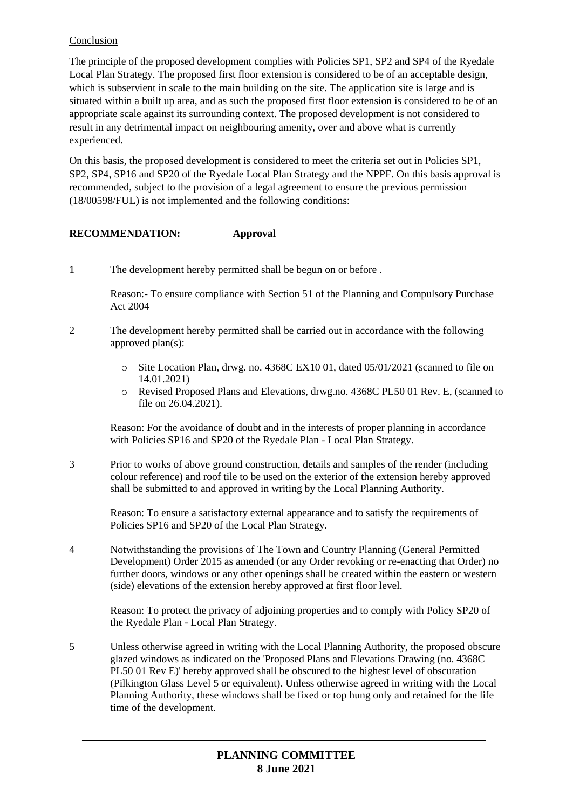# Conclusion

The principle of the proposed development complies with Policies SP1, SP2 and SP4 of the Ryedale Local Plan Strategy. The proposed first floor extension is considered to be of an acceptable design, which is subservient in scale to the main building on the site. The application site is large and is situated within a built up area, and as such the proposed first floor extension is considered to be of an appropriate scale against its surrounding context. The proposed development is not considered to result in any detrimental impact on neighbouring amenity, over and above what is currently experienced.

On this basis, the proposed development is considered to meet the criteria set out in Policies SP1, SP2, SP4, SP16 and SP20 of the Ryedale Local Plan Strategy and the NPPF. On this basis approval is recommended, subject to the provision of a legal agreement to ensure the previous permission (18/00598/FUL) is not implemented and the following conditions:

# **RECOMMENDATION: Approval**

1 The development hereby permitted shall be begun on or before .

Reason:- To ensure compliance with Section 51 of the Planning and Compulsory Purchase Act 2004

- 2 The development hereby permitted shall be carried out in accordance with the following approved plan(s):
	- o Site Location Plan, drwg. no. 4368C EX10 01, dated 05/01/2021 (scanned to file on 14.01.2021)
	- o Revised Proposed Plans and Elevations, drwg.no. 4368C PL50 01 Rev. E, (scanned to file on 26.04.2021).

Reason: For the avoidance of doubt and in the interests of proper planning in accordance with Policies SP16 and SP20 of the Ryedale Plan - Local Plan Strategy.

3 Prior to works of above ground construction, details and samples of the render (including colour reference) and roof tile to be used on the exterior of the extension hereby approved shall be submitted to and approved in writing by the Local Planning Authority.

Reason: To ensure a satisfactory external appearance and to satisfy the requirements of Policies SP16 and SP20 of the Local Plan Strategy.

4 Notwithstanding the provisions of The Town and Country Planning (General Permitted Development) Order 2015 as amended (or any Order revoking or re-enacting that Order) no further doors, windows or any other openings shall be created within the eastern or western (side) elevations of the extension hereby approved at first floor level.

Reason: To protect the privacy of adjoining properties and to comply with Policy SP20 of the Ryedale Plan - Local Plan Strategy.

5 Unless otherwise agreed in writing with the Local Planning Authority, the proposed obscure glazed windows as indicated on the 'Proposed Plans and Elevations Drawing (no. 4368C PL50 01 Rev E)' hereby approved shall be obscured to the highest level of obscuration (Pilkington Glass Level 5 or equivalent). Unless otherwise agreed in writing with the Local Planning Authority, these windows shall be fixed or top hung only and retained for the life time of the development.